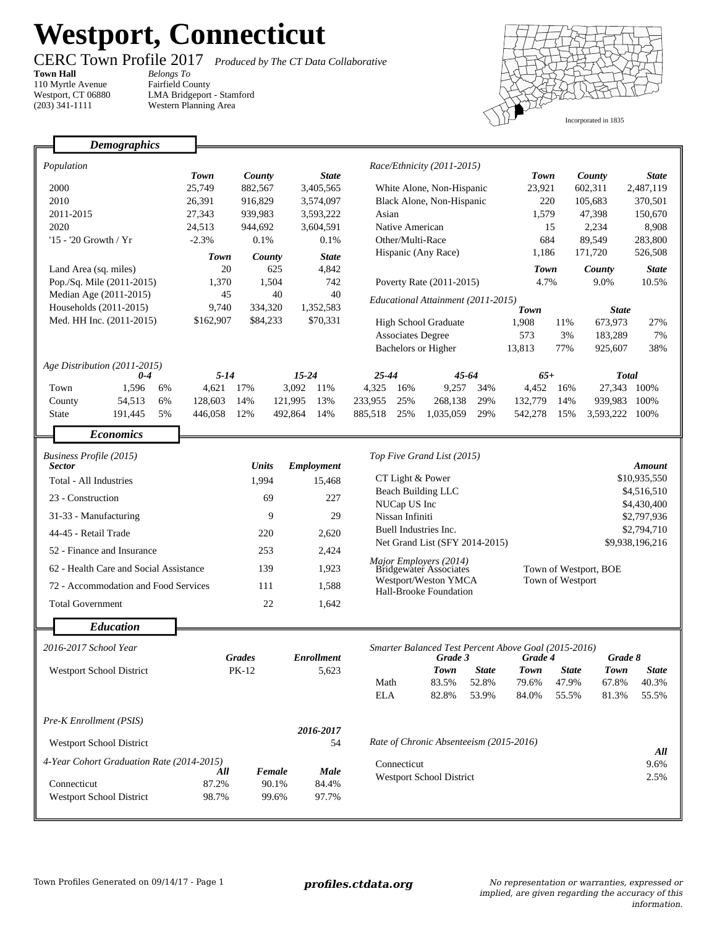## **Westport, Connecticut**

Fairfield County

٦

## *Belongs To*

**Town Hall** 110 Myrtle Avenue Westport, CT 06880 (203) 341-1111

Г

CERC Town Profile 2017 *Produced by The CT Data Collaborative*

LMA Bridgeport - Stamford Western Planning Area



|                                 | <b>Demographics</b>                       |                    |                            |                            |                                         |                                                  |                            |                             |                                                      |                            |                |                 |  |
|---------------------------------|-------------------------------------------|--------------------|----------------------------|----------------------------|-----------------------------------------|--------------------------------------------------|----------------------------|-----------------------------|------------------------------------------------------|----------------------------|----------------|-----------------|--|
|                                 |                                           |                    |                            |                            |                                         |                                                  |                            |                             |                                                      |                            |                |                 |  |
| Population                      |                                           | <b>Town</b>        | County<br><b>State</b>     |                            | Race/Ethnicity (2011-2015)              |                                                  |                            | <b>Town</b>                 |                                                      | County                     | <b>State</b>   |                 |  |
| 2000                            |                                           | 25,749             | 882,567<br>3,405,565       |                            | White Alone, Non-Hispanic               |                                                  |                            | 23,921                      |                                                      | 602,311                    | 2,487,119      |                 |  |
| 2010                            |                                           | 26,391             | 916,829<br>3,574,097       |                            | Black Alone, Non-Hispanic               |                                                  |                            | 220                         |                                                      | 105,683                    | 370,501        |                 |  |
| 2011-2015                       |                                           | 27,343             | 939,983<br>3,593,222       |                            | Asian                                   |                                                  |                            | 1,579                       |                                                      | 47,398                     | 150,670        |                 |  |
| 2020                            |                                           | 24,513             | 944,692                    | 3,604,591                  |                                         | Native American                                  |                            |                             | 15                                                   |                            | 2,234          | 8,908           |  |
| '15 - '20 Growth / Yr           |                                           | $-2.3%$            | 0.1%                       | 0.1%                       |                                         | Other/Multi-Race                                 |                            |                             | 684                                                  |                            | 89,549         | 283,800         |  |
|                                 |                                           | <b>Town</b>        | <b>State</b><br>County     |                            | Hispanic (Any Race)                     |                                                  |                            | 1,186                       |                                                      | 171,720                    | 526,508        |                 |  |
|                                 | Land Area (sq. miles)                     | 20                 | 625<br>4,842               |                            |                                         |                                                  |                            | <b>Town</b>                 |                                                      | County                     | <b>State</b>   |                 |  |
| Pop./Sq. Mile (2011-2015)       |                                           | 1,370              | 742<br>1,504               |                            | Poverty Rate (2011-2015)                |                                                  |                            | 4.7%                        |                                                      | 9.0%                       | 10.5%          |                 |  |
| Median Age (2011-2015)          |                                           | 45                 | 40<br>40                   |                            | Educational Attainment (2011-2015)      |                                                  |                            |                             |                                                      |                            |                |                 |  |
| Households (2011-2015)          |                                           | 9,740              | 334,320<br>1,352,583       |                            |                                         |                                                  |                            | <b>Town</b><br><b>State</b> |                                                      |                            |                |                 |  |
|                                 | Med. HH Inc. (2011-2015)                  | \$162,907          | \$84,233<br>\$70,331       |                            | <b>High School Graduate</b>             |                                                  |                            | 1,908                       | 11%                                                  | 673,973                    | 27%            |                 |  |
|                                 |                                           |                    |                            |                            | <b>Associates Degree</b>                |                                                  |                            | 573                         | 3%                                                   | 183,289                    | 7%             |                 |  |
|                                 |                                           |                    |                            |                            |                                         | <b>Bachelors or Higher</b>                       |                            |                             | 13,813                                               | 77%                        | 925,607        | 38%             |  |
|                                 | Age Distribution (2011-2015)              |                    |                            |                            |                                         |                                                  |                            |                             |                                                      |                            |                |                 |  |
|                                 | $0 - 4$                                   | $5 - 14$           |                            | $15 - 24$                  | $25 - 44$                               |                                                  | 45-64                      |                             | $65+$                                                |                            |                | <b>Total</b>    |  |
|                                 | 1,596<br>Town<br>6%                       | 4,621              | 17%                        | 3,092<br>11%               | 4,325                                   | 16%                                              | 9,257                      | 34%                         | 4,452                                                | 16%                        |                | 27,343 100%     |  |
|                                 | County<br>54,513<br>6%                    | 128.603<br>446,058 | 14%                        | 121,995<br>13%             | 233.955                                 | 25%                                              | 268,138                    | 29%                         | 132,779                                              | 14%                        |                | 939,983 100%    |  |
|                                 | 191,445<br>5%<br><b>State</b>             |                    | 12%                        | 492,864<br>14%             | 885,518                                 | 25%                                              | 1,035,059                  | 29%                         | 542,278                                              | 15%                        | 3,593,222 100% |                 |  |
|                                 | <b>Economics</b>                          |                    |                            |                            |                                         |                                                  |                            |                             |                                                      |                            |                |                 |  |
| Business Profile (2015)         |                                           |                    |                            |                            |                                         |                                                  | Top Five Grand List (2015) |                             |                                                      |                            |                |                 |  |
| <b>Sector</b>                   |                                           |                    | <b>Units</b><br>Employment |                            |                                         |                                                  |                            |                             |                                                      |                            |                | Amount          |  |
| Total - All Industries          |                                           |                    | 1,994                      |                            | CT Light & Power                        |                                                  |                            |                             | \$10,935,550                                         |                            |                |                 |  |
| 23 - Construction               |                                           |                    | 69                         | 227                        |                                         | Beach Building LLC                               |                            |                             | \$4,516,510                                          |                            |                |                 |  |
| 31-33 - Manufacturing           |                                           |                    | 9                          | 29                         | NUCap US Inc<br>Nissan Infiniti         |                                                  |                            |                             |                                                      | \$4,430,400<br>\$2,797,936 |                |                 |  |
| 44-45 - Retail Trade            |                                           |                    | 220                        | 2,620                      | Buell Industries Inc.                   |                                                  |                            |                             |                                                      |                            | \$2,794,710    |                 |  |
|                                 | 52 - Finance and Insurance                |                    | 253                        | 2,424                      | Net Grand List (SFY 2014-2015)          |                                                  |                            |                             |                                                      |                            |                | \$9,938,196,216 |  |
|                                 | 62 - Health Care and Social Assistance    |                    | 139<br>1,923               |                            |                                         | Major Employers (2014)<br>Bridgewater Associates |                            |                             |                                                      | Town of Westport, BOE      |                |                 |  |
|                                 | 72 - Accommodation and Food Services      |                    | 111<br>1,588               |                            |                                         | Westport/Weston YMCA<br>Hall-Brooke Foundation   |                            |                             | Town of Westport                                     |                            |                |                 |  |
|                                 | <b>Total Government</b>                   |                    | 22<br>1,642                |                            |                                         |                                                  |                            |                             |                                                      |                            |                |                 |  |
|                                 |                                           |                    |                            |                            |                                         |                                                  |                            |                             |                                                      |                            |                |                 |  |
|                                 | <b>Education</b>                          |                    |                            |                            |                                         |                                                  |                            |                             |                                                      |                            |                |                 |  |
| 2016-2017 School Year           |                                           |                    |                            |                            |                                         |                                                  |                            |                             | Smarter Balanced Test Percent Above Goal (2015-2016) |                            |                |                 |  |
|                                 |                                           | <b>Grades</b>      |                            | <b>Enrollment</b><br>5,623 |                                         |                                                  | Grade 3                    |                             | Grade 4                                              |                            | Grade 8        |                 |  |
| Westport School District        |                                           |                    | PK-12                      |                            |                                         |                                                  | <b>Town</b>                | <b>State</b>                | <b>Town</b>                                          | <b>State</b>               | <b>Town</b>    | <b>State</b>    |  |
|                                 |                                           |                    |                            |                            | Math<br><b>ELA</b>                      |                                                  | 83.5%<br>82.8%             | 52.8%<br>53.9%              | 79.6%<br>84.0%                                       | 47.9%<br>55.5%             | 67.8%<br>81.3% | 40.3%<br>55.5%  |  |
|                                 |                                           |                    |                            |                            |                                         |                                                  |                            |                             |                                                      |                            |                |                 |  |
| Pre-K Enrollment (PSIS)         |                                           |                    |                            |                            |                                         |                                                  |                            |                             |                                                      |                            |                |                 |  |
|                                 |                                           | 2016-2017          |                            |                            |                                         |                                                  |                            |                             |                                                      |                            |                |                 |  |
|                                 | <b>Westport School District</b>           | 54                 |                            |                            | Rate of Chronic Absenteeism (2015-2016) |                                                  |                            |                             |                                                      | All                        |                |                 |  |
|                                 | 4-Year Cohort Graduation Rate (2014-2015) | All                | Female                     |                            |                                         | Connecticut                                      |                            |                             |                                                      |                            |                | 9.6%            |  |
| Connecticut                     |                                           | 87.2%              | 90.1%                      | Male<br>84.4%              | <b>Westport School District</b>         |                                                  |                            |                             |                                                      | 2.5%                       |                |                 |  |
| <b>Westport School District</b> |                                           | 98.7%              | 99.6%                      | 97.7%                      |                                         |                                                  |                            |                             |                                                      |                            |                |                 |  |
|                                 |                                           |                    |                            |                            |                                         |                                                  |                            |                             |                                                      |                            |                |                 |  |